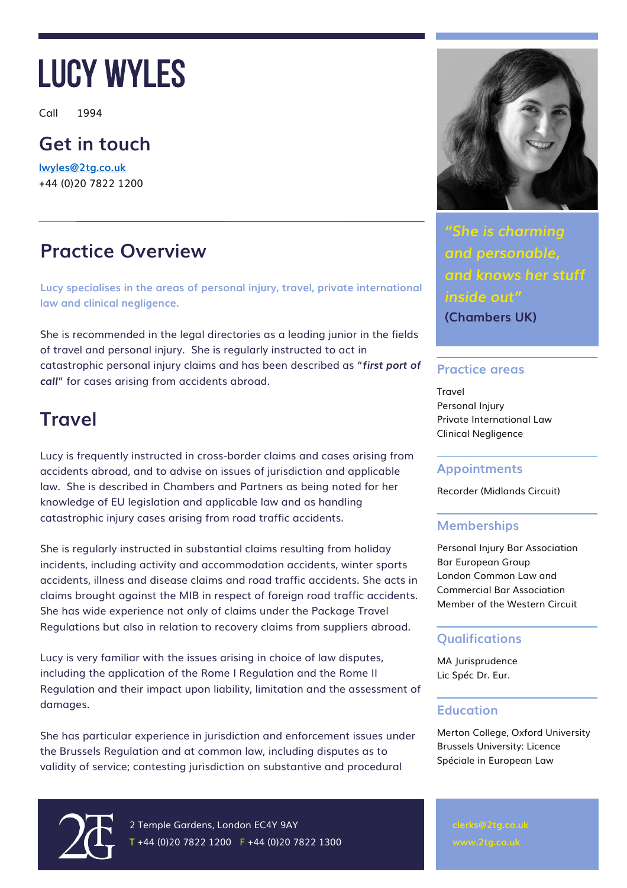Call 1994

### **Get in touch**

**[lwyles@2tg.co.uk](mailto:lwyles@2tg.co.uk)** +44 (0)20 7822 1200

## **Practice Overview**

**Lucy specialises in the areas of personal injury, travel, private international law and clinical negligence.**

She is recommended in the legal directories as a leading junior in the fields of travel and personal injury. She is regularly instructed to act in catastrophic personal injury claims and has been described as "*first port of call*" for cases arising from accidents abroad.

## **Travel**

Lucy is frequently instructed in cross-border claims and cases arising from accidents abroad, and to advise on issues of jurisdiction and applicable law. She is described in Chambers and Partners as being noted for her knowledge of EU legislation and applicable law and as handling catastrophic injury cases arising from road traffic accidents.

She is regularly instructed in substantial claims resulting from holiday incidents, including activity and accommodation accidents, winter sports accidents, illness and disease claims and road traffic accidents. She acts in claims brought against the MIB in respect of foreign road traffic accidents. She has wide experience not only of claims under the Package Travel Regulations but also in relation to recovery claims from suppliers abroad.

Lucy is very familiar with the issues arising in choice of law disputes, including the application of the Rome I Regulation and the Rome II Regulation and their impact upon liability, limitation and the assessment of damages.

She has particular experience in jurisdiction and enforcement issues under the Brussels Regulation and at common law, including disputes as to validity of service; contesting jurisdiction on substantive and procedural



2 Temple Gardens, London EC4Y 9AY  $T + 44 (0)20 7822 1200$  F +44 (0)20 7822 1300



*"She is charming and personable, and knows her stuff inside out"*

**(Chambers UK)**

#### **Practice areas**

Travel Personal Injury Private International Law Clinical Negligence

#### **Appointments**

Recorder (Midlands Circuit)

### **Memberships**

Personal Injury Bar Association Bar European Group London Common Law and Commercial Bar Association Member of the Western Circuit

### **Qualifications**

MA Jurisprudence Lic Spéc Dr. Eur.

### **Education**

Merton College, Oxford University Brussels University: Licence Spéciale in European Law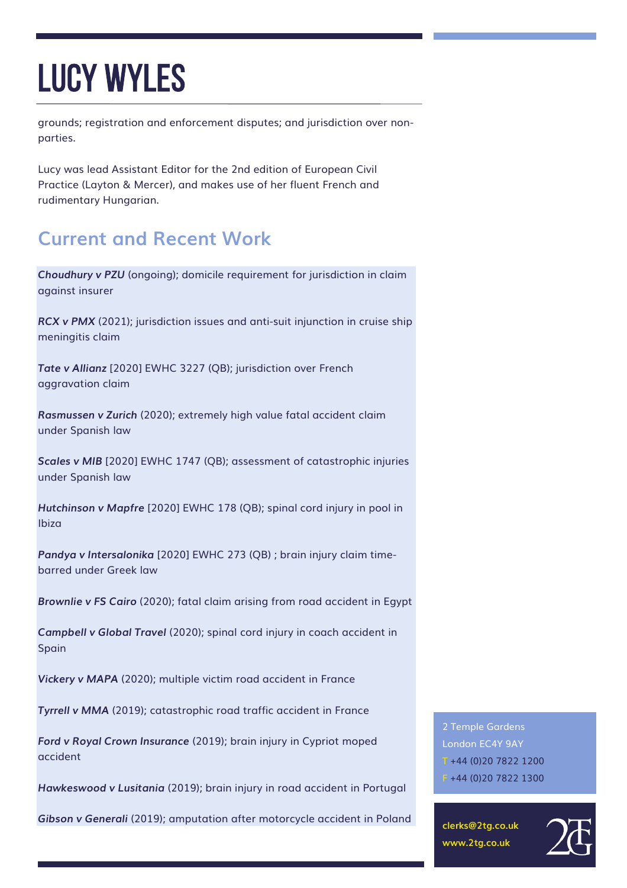grounds; registration and enforcement disputes; and jurisdiction over nonparties.

Lucy was lead Assistant Editor for the 2nd edition of European Civil Practice (Layton & Mercer), and makes use of her fluent French and rudimentary Hungarian.

## **Current and Recent Work**

*Choudhury v PZU* (ongoing); domicile requirement for jurisdiction in claim against insurer

*RCX v PMX* (2021); jurisdiction issues and anti-suit injunction in cruise ship meningitis claim

*Tate v Allianz* [2020] EWHC 3227 (QB); jurisdiction over French aggravation claim

*Rasmussen v Zurich* (2020); extremely high value fatal accident claim under Spanish law

**Scales v MIB** [2020] EWHC 1747 (QB); assessment of catastrophic injuries under Spanish law

*Hutchinson v Mapfre* [2020] EWHC 178 (QB); spinal cord injury in pool in Ibiza

*Pandya v Intersalonika* [2020] EWHC 273 (QB) ; brain injury claim timebarred under Greek law

*Brownlie v FS Cairo* (2020); fatal claim arising from road accident in Egypt

*Campbell v Global Travel* (2020); spinal cord injury in coach accident in Spain

*Vickery v MAPA* (2020); multiple victim road accident in France

*Tyrrell v MMA* (2019); catastrophic road traffic accident in France

*Ford v Royal Crown Insurance* (2019); brain injury in Cypriot moped accident

*Hawkeswood v Lusitania* (2019); brain injury in road accident in Portugal

*Gibson v Generali* (2019); amputation after motorcycle accident in Poland

2 Temple Gardens London EC4Y 9AY T +44 (0)20 7822 1200  $F + 44 (0)20 7822 1300$ 

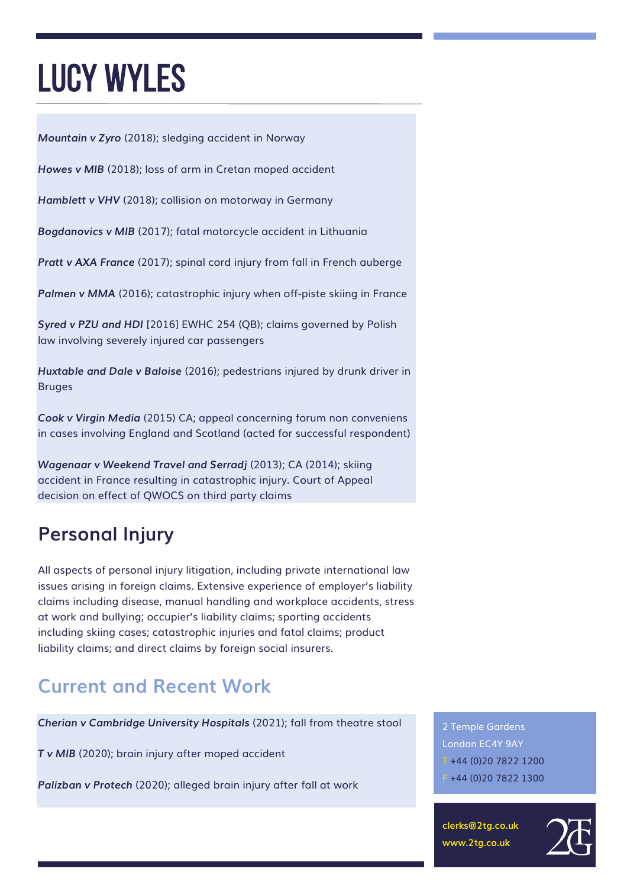*Mountain v Zyro* (2018); sledging accident in Norway

*Howes v MIB* (2018); loss of arm in Cretan moped accident

*Hamblett v VHV* (2018); collision on motorway in Germany

*Bogdanovics v MIB* (2017); fatal motorcycle accident in Lithuania

*Pratt v AXA France* (2017); spinal cord injury from fall in French auberge

**Palmen v MMA** (2016); catastrophic injury when off-piste skiing in France

*Syred v PZU and HDI* [2016] EWHC 254 (QB); claims governed by Polish law involving severely injured car passengers

*Huxtable and Dale v Baloise* (2016); pedestrians injured by drunk driver in Bruges

*Cook v Virgin Media* (2015) CA; appeal concerning forum non conveniens in cases involving England and Scotland (acted for successful respondent)

*Wagenaar v Weekend Travel and Serradj* (2013); CA (2014); skiing accident in France resulting in catastrophic injury. Court of Appeal decision on effect of QWOCS on third party claims

## **Personal Injury**

All aspects of personal injury litigation, including private international law issues arising in foreign claims. Extensive experience of employer's liability claims including disease, manual handling and workplace accidents, stress at work and bullying; occupier's liability claims; sporting accidents including skiing cases; catastrophic injuries and fatal claims; product liability claims; and direct claims by foreign social insurers.

## **Current and Recent Work**

*Cherian v Cambridge University Hospitals* (2021); fall from theatre stool

*T v MIB* (2020); brain injury after moped accident

*Palizban v Protech* (2020); alleged brain injury after fall at work

2 Temple Gardens London EC4Y 9AY  $T + 44 (0)2078221200$  $F + 44 (0)20 7822 1300$ 

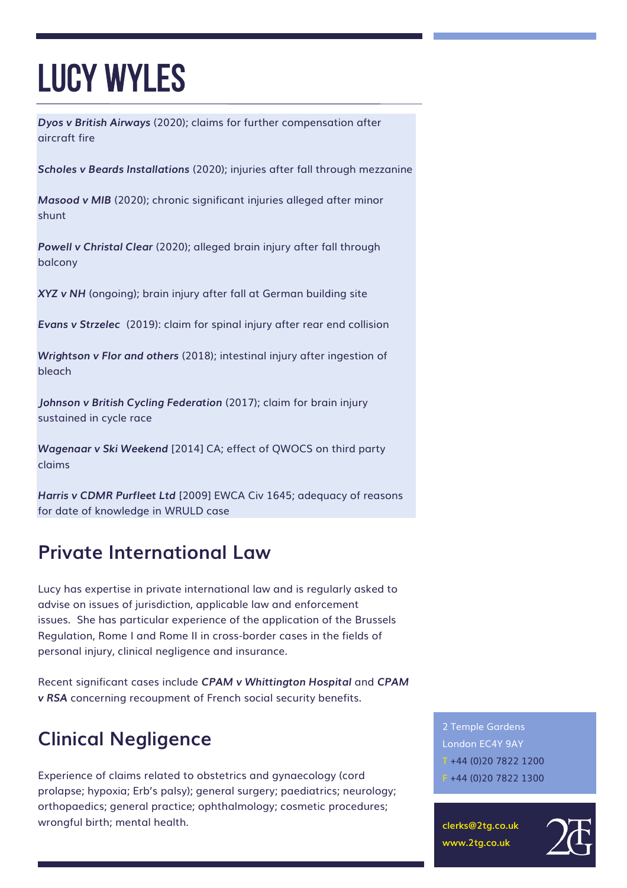*Dyos v British Airways* (2020); claims for further compensation after aircraft fire

*Scholes v Beards Installations* (2020); injuries after fall through mezzanine

*Masood v MIB* (2020); chronic significant injuries alleged after minor shunt

*Powell v Christal Clear* (2020); alleged brain injury after fall through balcony

*XYZ v NH* (ongoing); brain injury after fall at German building site

*Evans v Strzelec* (2019): claim for spinal injury after rear end collision

*Wrightson v Flor and others* (2018); intestinal injury after ingestion of bleach

*Johnson v British Cycling Federation* (2017); claim for brain injury sustained in cycle race

*Wagenaar v Ski Weekend* [2014] CA; effect of QWOCS on third party claims

*Harris v CDMR Purfleet Ltd* [2009] EWCA Civ 1645; adequacy of reasons for date of knowledge in WRULD case

### **Private International Law**

Lucy has expertise in private international law and is regularly asked to advise on issues of jurisdiction, applicable law and enforcement issues. She has particular experience of the application of the Brussels Regulation, Rome I and Rome II in cross-border cases in the fields of personal injury, clinical negligence and insurance.

Recent significant cases include *CPAM v Whittington Hospital* and *CPAM v RSA* concerning recoupment of French social security benefits.

## **Clinical Negligence**

Experience of claims related to obstetrics and gynaecology (cord prolapse; hypoxia; Erb's palsy); general surgery; paediatrics; neurology; orthopaedics; general practice; ophthalmology; cosmetic procedures; wrongful birth; mental health.

2 Temple Gardens London EC4Y 9AY  $T + 44 (0)2078221200$  $F + 44 (0)20 7822 1300$ 

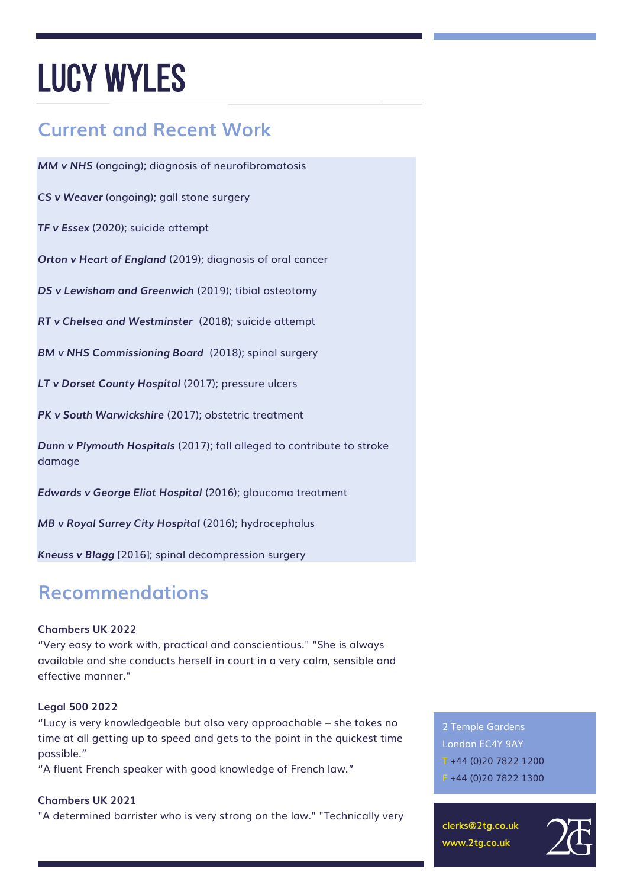## **Current and Recent Work**

*MM v NHS* (ongoing); diagnosis of neurofibromatosis

*CS v Weaver* (ongoing); gall stone surgery

*TF v Essex* (2020); suicide attempt

*Orton v Heart of England* (2019); diagnosis of oral cancer

*DS v Lewisham and Greenwich* (2019); tibial osteotomy

*RT v Chelsea and Westminster* (2018); suicide attempt

*BM v NHS Commissioning Board* (2018); spinal surgery

*LT v Dorset County Hospital* (2017); pressure ulcers

*PK v South Warwickshire* (2017); obstetric treatment

*Dunn v Plymouth Hospitals* (2017); fall alleged to contribute to stroke damage

*Edwards v George Eliot Hospital* (2016); glaucoma treatment

*MB v Royal Surrey City Hospital* (2016); hydrocephalus

*Kneuss v Blagg* [2016]; spinal decompression surgery

### **Recommendations**

#### **Chambers UK 2022**

"Very easy to work with, practical and conscientious." "She is always available and she conducts herself in court in a very calm, sensible and effective manner."

#### **Legal 500 2022**

"Lucy is very knowledgeable but also very approachable – she takes no time at all getting up to speed and gets to the point in the quickest time possible."

"A fluent French speaker with good knowledge of French law."

#### **Chambers UK 2021**

"A determined barrister who is very strong on the law." "Technically very

2 Temple Gardens London EC4Y 9AY  $T + 44 (0)2078221200$  $F + 44 (0)20 7822 1300$ 

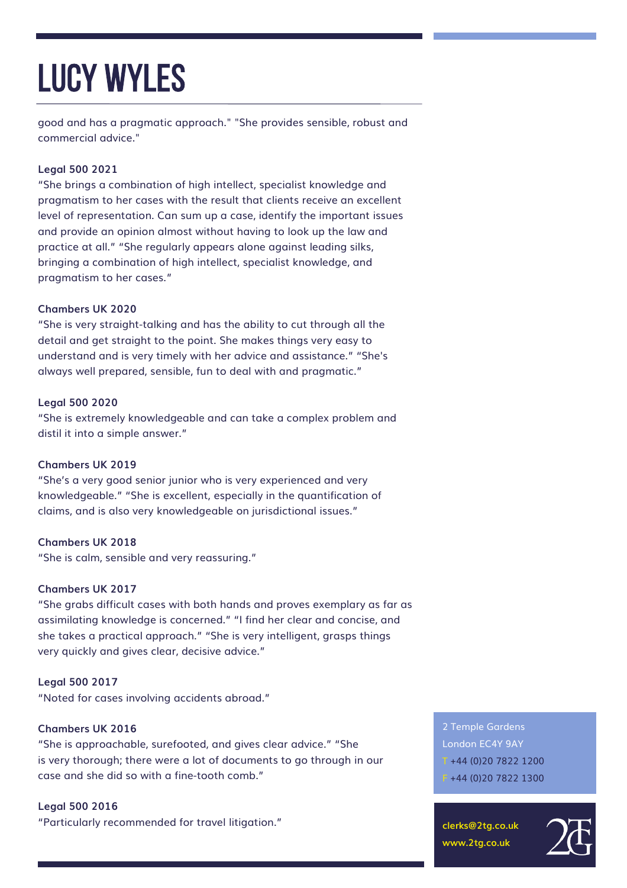good and has a pragmatic approach." "She provides sensible, robust and commercial advice."

#### **Legal 500 2021**

"She brings a combination of high intellect, specialist knowledge and pragmatism to her cases with the result that clients receive an excellent level of representation. Can sum up a case, identify the important issues and provide an opinion almost without having to look up the law and practice at all." "She regularly appears alone against leading silks, bringing a combination of high intellect, specialist knowledge, and pragmatism to her cases."

#### **Chambers UK 2020**

"She is very straight-talking and has the ability to cut through all the detail and get straight to the point. She makes things very easy to understand and is very timely with her advice and assistance." "She's always well prepared, sensible, fun to deal with and pragmatic."

#### **Legal 500 2020**

"She is extremely knowledgeable and can take a complex problem and distil it into a simple answer."

#### **Chambers UK 2019**

"She's a very good senior junior who is very experienced and very knowledgeable." "She is excellent, especially in the quantification of claims, and is also very knowledgeable on jurisdictional issues."

#### **Chambers UK 2018**

"She is calm, sensible and very reassuring."

#### **Chambers UK 2017**

"She grabs difficult cases with both hands and proves exemplary as far as assimilating knowledge is concerned." "I find her clear and concise, and she takes a practical approach." "She is very intelligent, grasps things very quickly and gives clear, decisive advice."

#### **Legal 500 2017**

"Noted for cases involving accidents abroad."

#### **Chambers UK 2016**

"She is approachable, surefooted, and gives clear advice." "She is very thorough; there were a lot of documents to go through in our case and she did so with a fine-tooth comb."

#### **Legal 500 2016**

"Particularly recommended for travel litigation."

2 Temple Gardens London EC4Y 9AY  $T + 44 (0)2078221200$  $F + 44 (0)20 7822 1300$